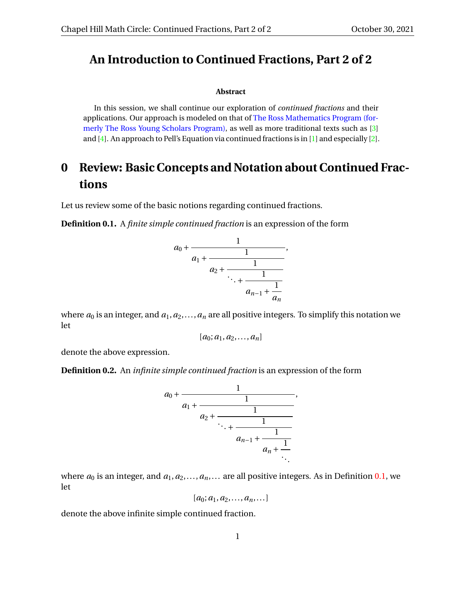#### **An Introduction to Continued Fractions, Part 2 of 2**

#### **Abstract**

In this session, we shall continue our exploration of *continued fractions* and their applications. Our approach is modeled on that of [The Ross Mathematics Program \(for](https://rossprogram.org/)[merly The Ross Young Scholars Program\),](https://rossprogram.org/) as well as more traditional texts such as [\[3\]](#page-9-0) and  $[4]$ . An approach to Pell's Equation via continued fractions is in  $[1]$  and especially  $[2]$ .

# **0 Review: Basic Concepts and Notation about Continued Fractions**

Let us review some of the basic notions regarding continued fractions.

<span id="page-0-0"></span>**Definition 0.1.** A *finite simple continued fraction* is an expression of the form

$$
a_0 + \cfrac{1}{a_1 + \cfrac{1}{a_2 + \cfrac{1}{\ddots + \cfrac{1}{a_{n-1} + \cfrac{1}{a_n}}}}},
$$

where  $a_0$  is an integer, and  $a_1, a_2, \ldots, a_n$  are all positive integers. To simplify this notation we let

$$
[a_0;a_1,a_2,\ldots,a_n]
$$

denote the above expression.

<span id="page-0-1"></span>**Definition 0.2.** An *infinite simple continued fraction* is an expression of the form



where  $a_0$  is an integer, and  $a_1, a_2, \ldots, a_n, \ldots$  are all positive integers. As in Definition [0.1,](#page-0-0) we let

$$
[a_0;a_1,a_2,\ldots,a_n,\ldots]
$$

denote the above infinite simple continued fraction.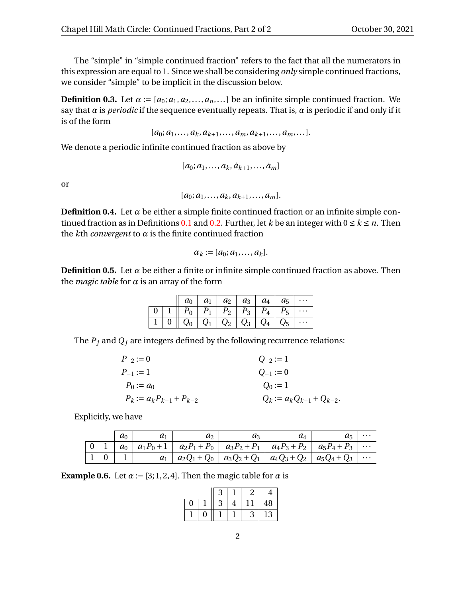The "simple" in "simple continued fraction" refers to the fact that all the numerators in this expression are equal to 1. Since we shall be considering *only* simple continued fractions, we consider "simple" to be implicit in the discussion below.

**Definition 0.3.** Let  $\alpha := [a_0; a_1, a_2, \dots, a_n, \dots]$  be an infinite simple continued fraction. We say that  $\alpha$  is *periodic* if the sequence eventually repeats. That is,  $\alpha$  is periodic if and only if it is of the form

 $[a_0; a_1, \ldots, a_k, a_{k+1}, \ldots, a_m, a_{k+1}, \ldots, a_m, \ldots].$ 

We denote a periodic infinite continued fraction as above by

$$
[a_0;a_1,\ldots,a_k,\dot{a}_{k+1},\ldots,\dot{a}_m]
$$

or

 $[a_0; a_1, \ldots, a_k, \overline{a_{k+1}, \ldots, a_m}].$ 

**Definition 0.4.** Let  $\alpha$  be either a simple finite continued fraction or an infinite simple con-tinued fraction as in Definitions [0.1](#page-0-0) and [0.2.](#page-0-1) Further, let *k* be an integer with  $0 \le k \le n$ . Then the  $k$ th *convergent* to  $\alpha$  is the finite continued fraction

$$
\alpha_k := [a_0; a_1, \ldots, a_k].
$$

**Definition 0.5.** Let  $\alpha$  be either a finite or infinite simple continued fraction as above. Then the *magic table* for *α* is an array of the form

|  |                                                                                                            | $a_0 \mid a_1 \mid a_2 \mid a_3 \mid a_4 \mid a_5$ |  |                       |
|--|------------------------------------------------------------------------------------------------------------|----------------------------------------------------|--|-----------------------|
|  |                                                                                                            |                                                    |  |                       |
|  | $\mid$ 1 $\mid$ 0 $\mid\mid$ $Q_{0} \mid$ $Q_{1} \mid$ $Q_{2} \mid$ $Q_{3} \mid$ $Q_{4} \mid$ $Q_{5} \mid$ |                                                    |  | $  \cdot \cdot \cdot$ |

The  $P_j$  and  $Q_j$  are integers defined by the following recurrence relations:

| $P_{-2} := 0$                  | $Q_{-2} := 1$                   |
|--------------------------------|---------------------------------|
| $P_{-1} := 1$                  | $Q_{-1} := 0$                   |
| $P_0 := a_0$                   | $Q_0 := 1$                      |
| $P_k := a_k P_{k-1} + P_{k-2}$ | $Q_k := a_k Q_{k-1} + Q_{k-2}.$ |

Explicitly, we have

|                | a <sub>0</sub> | $\mu_1$ | a            | aз                                                     | $a_{\scriptscriptstyle\Lambda}$ | a5             |          |
|----------------|----------------|---------|--------------|--------------------------------------------------------|---------------------------------|----------------|----------|
| $\overline{0}$ | $a_0$          |         |              | $ a_1P_0+1 $ $a_2P_1+P_0 $ $a_3P_2+P_1 $ $a_4P_3+P_2 $ |                                 | $a_5P_4 + P_3$ | $\cdots$ |
|                |                | $a_1$   | $a_2Q_1+Q_0$ | $a_3Q_2+Q_1$                                           | $ a_4Q_3+Q_2 $                  | $a_5Q_4 + Q_3$ | $\cdots$ |

**Example 0.6.** Let  $\alpha := [3; 1, 2, 4]$ . Then the magic table for  $\alpha$  is

|   |   | 3 |   | ባ<br>∠ | 4  |
|---|---|---|---|--------|----|
| 0 |   | 3 | 4 |        | 48 |
|   | 0 |   |   | 3      | 13 |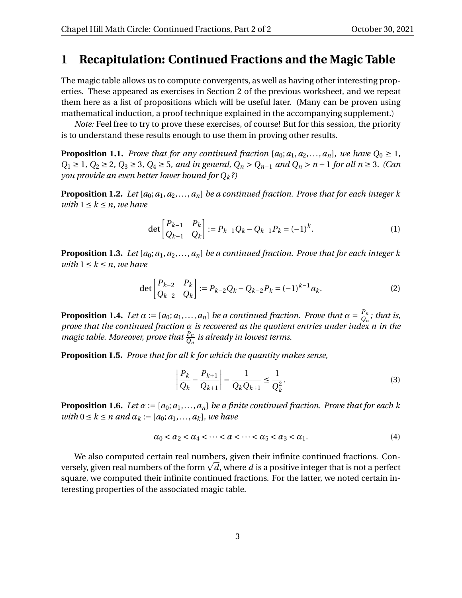## **1 Recapitulation: Continued Fractions and the Magic Table**

The magic table allows us to compute convergents, as well as having other interesting properties. These appeared as exercises in Section 2 of the previous worksheet, and we repeat them here as a list of propositions which will be useful later. (Many can be proven using mathematical induction, a proof technique explained in the accompanying supplement.)

*Note:* Feel free to try to prove these exercises, of course! But for this session, the priority is to understand these results enough to use them in proving other results.

**Proposition 1.1.** *Prove that for any continued fraction* [ $a_0$ ;  $a_1$ ,  $a_2$ ,..., $a_n$ ], we have  $Q_0 \ge 1$ , *Q*<sup>1</sup> ≥ 1*, Q*<sup>2</sup> ≥ 2*, Q*<sup>3</sup> ≥ 3*, Q*<sup>4</sup> ≥ 5*, and in general, Q<sup>n</sup>* > *Qn*−<sup>1</sup> *and Q<sup>n</sup>* > *n* + 1 *for all n* ≥ 3*. (Can you provide an even better lower bound for Qk?)*

**Proposition 1.2.** *Let* [*a*0;*a*1,*a*2,...,*an*] *be a continued fraction. Prove that for each integer k with*  $1 \leq k \leq n$ *, we have* 

$$
\det\begin{bmatrix} P_{k-1} & P_k \ Q_{k-1} & Q_k \end{bmatrix} := P_{k-1}Q_k - Q_{k-1}P_k = (-1)^k.
$$
 (1)

**Proposition 1.3.** Let  $[a_0; a_1, a_2, \ldots, a_n]$  be a continued fraction. Prove that for each integer k *with*  $1 \leq k \leq n$ *, we have* 

$$
\det\begin{bmatrix} P_{k-2} & P_k \ Q_{k-2} & Q_k \end{bmatrix} := P_{k-2}Q_k - Q_{k-2}P_k = (-1)^{k-1}a_k.
$$
 (2)

**Proposition 1.4.** *Let*  $\alpha := [a_0; a_1, \ldots, a_n]$  *be a continued fraction. Prove that*  $\alpha = \frac{P_n}{Q_n}$  $\frac{F_n}{Q_n}$ *;* that is, *prove that the continued fraction α is recovered as the quotient entries under index n in the magic table. Moreover, prove that*  $\frac{P_n}{Q_n}$  *is already in lowest terms.* 

**Proposition 1.5.** *Prove that for all k for which the quantity makes sense,*

$$
\left| \frac{P_k}{Q_k} - \frac{P_{k+1}}{Q_{k+1}} \right| = \frac{1}{Q_k Q_{k+1}} \le \frac{1}{Q_k^2}.
$$
\n(3)

**Proposition 1.6.** *Let*  $\alpha := [a_0; a_1, \dots, a_n]$  *be a finite continued fraction. Prove that for each k <i>and*  $\alpha_k := [a_0; a_1, \ldots, a_k]$ *, we have* 

$$
\alpha_0 < \alpha_2 < \alpha_4 < \cdots < \alpha < \cdots < \alpha_5 < \alpha_3 < \alpha_1. \tag{4}
$$

We also computed certain real numbers, given their infinite continued fractions. Con-We also computed certain real numbers, given their infinite continued fractions. Con-<br>versely, given real numbers of the form  $\sqrt{d}$ , where  $d$  is a positive integer that is not a perfect square, we computed their infinite continued fractions. For the latter, we noted certain interesting properties of the associated magic table.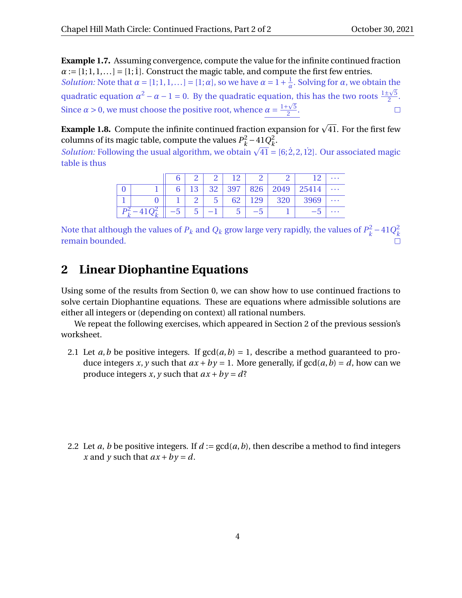**Example 1.7.** Assuming convergence, compute the value for the infinite continued fraction  $a := [1;1,1,...] = [1;1]$ . Construct the magic table, and compute the first few entries. *Solution:* Note that  $\alpha = [1;1,1,\ldots] = [1;\alpha]$ , so we have  $\alpha = 1 + \frac{1}{\alpha}$  $\frac{1}{\alpha}$ . Solving for *α*, we obtain the quadratic equation  $\alpha^2 - \alpha - 1 = 0$ . By the quadratic equation, this has the two roots  $\frac{1 \pm \sqrt{5}}{2}$ n, this has the two roots  $\frac{1 \pm \sqrt{5}}{2}$ . Since  $\alpha > 0$ , we must choose the positive root, whence  $\alpha = \frac{1+\sqrt{5}}{2}$  $\Box$  $\frac{1}{2}$ .

**Example 1.8.** Compute the infinite continued fraction expansion for  $\sqrt{41}$ . For the first few columns of its magic table, compute the values  $P_k^2$  $k^2 - 41Q_k^2$ *k* .

columns of its magic table, compute the values  $P_k - 41Q_k$ .<br>Solution: Following the usual algorithm, we obtain  $\sqrt{41} = [6;2,2,12]$ . Our associated magic table is thus

|  |   |     |                |     |     |      | ני ו  | $\sim$ $\sim$ $\sim$ |
|--|---|-----|----------------|-----|-----|------|-------|----------------------|
|  |   | פ ו | 32             | 397 | 826 | 2049 | 25414 | $\cdots$             |
|  |   |     | $\overline{5}$ | 62  | 129 | 320  | 3969  | $\cdots$             |
|  | ◡ | J   |                | J   | 'N  |      |       | $\cdots$             |

Note that although the values of  $P_k$  and  $Q_k$  grow large very rapidly, the values of  $P_k^2$  $k^2 - 41Q_k^2$ *k* remain bounded.

## **2 Linear Diophantine Equations**

Using some of the results from Section 0, we can show how to use continued fractions to solve certain Diophantine equations. These are equations where admissible solutions are either all integers or (depending on context) all rational numbers.

We repeat the following exercises, which appeared in Section 2 of the previous session's worksheet.

2.1 Let *a*,*b* be positive integers. If  $gcd(a, b) = 1$ , describe a method guaranteed to produce integers *x*, *y* such that  $ax + by = 1$ . More generally, if  $gcd(a, b) = d$ , how can we produce integers *x*, *y* such that  $ax + by = d$ ?

2.2 Let *a*, *b* be positive integers. If  $d := \gcd(a, b)$ , then describe a method to find integers *x* and *y* such that  $ax + by = d$ .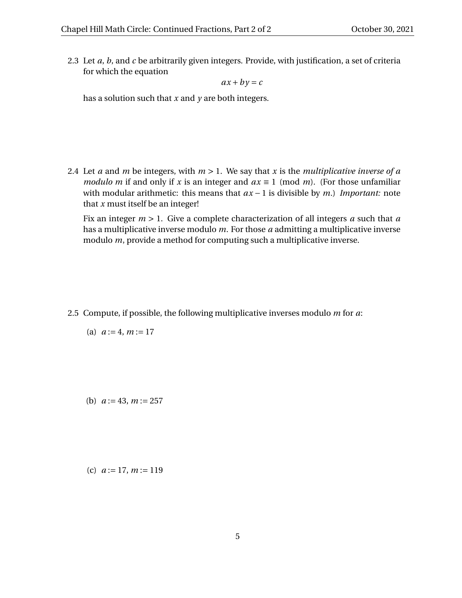2.3 Let *a*, *b*, and *c* be arbitrarily given integers. Provide, with justification, a set of criteria for which the equation

 $ax + by = c$ 

has a solution such that *x* and *y* are both integers.

2.4 Let *a* and *m* be integers, with *m* > 1. We say that *x* is the *multiplicative inverse of a modulo m* if and only if *x* is an integer and  $ax \equiv 1 \pmod{m}$ . (For those unfamiliar with modular arithmetic: this means that *ax* − 1 is divisible by *m*.) *Important:* note that *x* must itself be an integer!

Fix an integer *m* > 1. Give a complete characterization of all integers *a* such that *a* has a multiplicative inverse modulo *m*. For those *a* admitting a multiplicative inverse modulo *m*, provide a method for computing such a multiplicative inverse.

2.5 Compute, if possible, the following multiplicative inverses modulo *m* for *a*:

(a) 
$$
a := 4, m := 17
$$

(b)  $a := 43, m := 257$ 

(c) *a* := 17, *m* := 119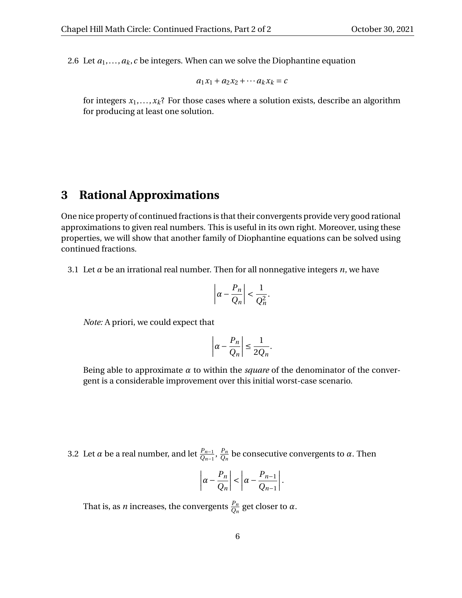2.6 Let  $a_1, \ldots, a_k$ , *c* be integers. When can we solve the Diophantine equation

$$
a_1x_1 + a_2x_2 + \cdots a_kx_k = c
$$

for integers  $x_1, \ldots, x_k$ ? For those cases where a solution exists, describe an algorithm for producing at least one solution.

#### **3 Rational Approximations**

One nice property of continued fractions is that their convergents provide very good rational approximations to given real numbers. This is useful in its own right. Moreover, using these properties, we will show that another family of Diophantine equations can be solved using continued fractions.

3.1 Let  $\alpha$  be an irrational real number. Then for all nonnegative integers  $n$ , we have

$$
\left| \alpha - \frac{P_n}{Q_n} \right| < \frac{1}{Q_n^2}
$$

.

*Note:* A priori, we could expect that

$$
\left|\alpha - \frac{P_n}{Q_n}\right| \le \frac{1}{2Q_n}.
$$

Being able to approximate  $\alpha$  to within the *square* of the denominator of the convergent is a considerable improvement over this initial worst-case scenario.

3.2 Let  $\alpha$  be a real number, and let  $\frac{P_{n-1}}{Q_{n-1}}, \frac{P_n}{Q_n}$  $\frac{P_n}{Q_n}$  be consecutive convergents to *α*. Then

$$
\left|\alpha-\frac{P_n}{Q_n}\right|<\left|\alpha-\frac{P_{n-1}}{Q_{n-1}}\right|.
$$

That is, as *n* increases, the convergents  $\frac{P_n}{Q_n}$  get closer to  $\alpha$ .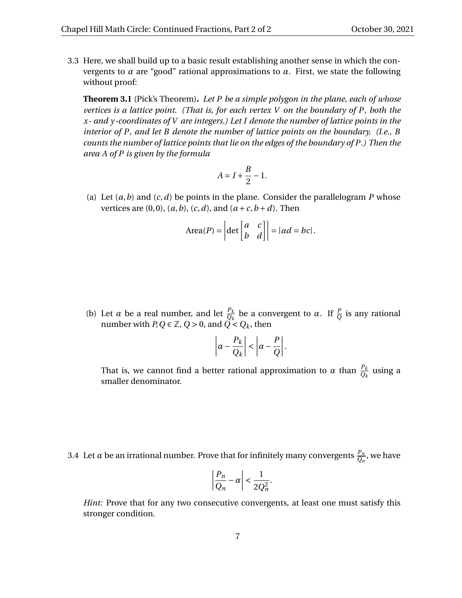3.3 Here, we shall build up to a basic result establishing another sense in which the convergents to *α* are "good" rational approximations to *α*. First, we state the following without proof:

**Theorem 3.1** (Pick's Theorem)**.** *Let P be a simple polygon in the plane, each of whose vertices is a lattice point. (That is, for each vertex V on the boundary of P, both the x- and y-coordinates of V are integers.) Let I denote the number of lattice points in the interior of P, and let B denote the number of lattice points on the boundary. (I.e., B counts the number of lattice points that lie on the edges of the boundary of P.) Then the area A of P is given by the formula*

$$
A = I + \frac{B}{2} - 1.
$$

(a) Let  $(a, b)$  and  $(c, d)$  be points in the plane. Consider the parallelogram *P* whose vertices are  $(0,0)$ ,  $(a, b)$ ,  $(c, d)$ , and  $(a+c, b+d)$ . Then

$$
Area(P) = \left| \det \begin{bmatrix} a & c \\ b & d \end{bmatrix} \right| = |ad = bc|.
$$

(b) Let  $\alpha$  be a real number, and let  $\frac{P_k}{Q_k}$  be a convergent to  $\alpha$ . If  $\frac{P}{Q}$  is any rational number with  $P, Q \in \mathbb{Z}$ ,  $Q > 0$ , and  $\overrightarrow{Q} < Q_k$ , then

$$
\left|\alpha - \frac{P_k}{Q_k}\right| < \left|\alpha - \frac{P}{Q}\right|.
$$

That is, we cannot find a better rational approximation to  $\alpha$  than  $\frac{P_k}{Q_k}$  using a smaller denominator.

<span id="page-6-0"></span>3.4 Let  $\alpha$  be an irrational number. Prove that for infinitely many convergents  $\frac{P_n}{Q_n}$ , we have

$$
\left|\frac{P_n}{Q_n} - \alpha\right| < \frac{1}{2Q_n^2}.
$$

*Hint:* Prove that for any two consecutive convergents, at least one must satisfy this stronger condition.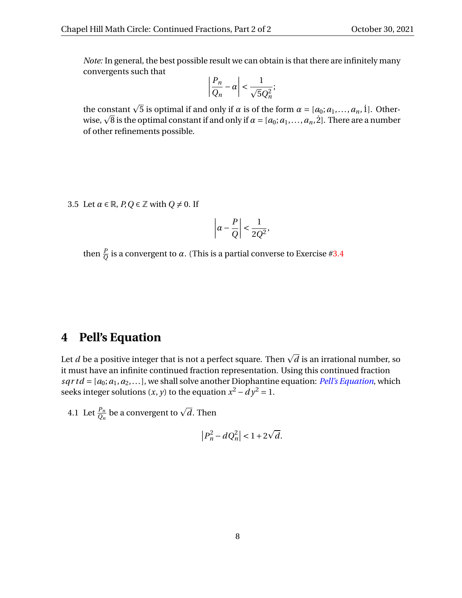*Note:* In general, the best possible result we can obtain is that there are infinitely many convergents such that

$$
\left|\frac{P_n}{Q_n} - \alpha\right| < \frac{1}{\sqrt{5}Q_n^2};
$$

the constant  $\sqrt{5}$  is optimal if and only if *α* is of the form  $\alpha = [a_0; a_1, ..., a_n, 1]$ . Otherthe constant  $\sqrt{5}$  is optimal if and only if *α* is of the form  $\alpha = [a_0; a_1, ..., a_n, 1]$ . Otherwise,  $\sqrt{8}$  is the optimal constant if and only if  $\alpha = [a_0; a_1, ..., a_n, 2]$ . There are a number of other refinements possible.

3.5 Let  $\alpha \in \mathbb{R}$ ,  $P, Q \in \mathbb{Z}$  with  $Q \neq 0$ . If

$$
\left|\alpha - \frac{P}{Q}\right| < \frac{1}{2Q^2},
$$

then  $\frac{p}{Q}$  is a convergent to  $\alpha$ . (This is a partial converse to Exercise [#3.4](#page-6-0)

# **4 Pell's Equation**

Let  $d$  be a positive integer that is not a perfect square. Then  $\sqrt{d}$  is an irrational number, so it must have an infinite continued fraction representation. Using this continued fraction  $sqrt d = [a_0; a_1, a_2,...]$ , we shall solve another Diophantine equation: *[Pell's Equation](https://en.wikipedia.org/wiki/Pell%27s_equation)*, which seeks integer solutions  $(x, y)$  to the equation  $x^2 - dy^2 = 1$ .

4.1 Let  $\frac{p_n}{Q_n}$  be a convergent to  $\sqrt{d}$ . Then

$$
\left|P_n^2 - dQ_n^2\right| < 1 + 2\sqrt{d}.
$$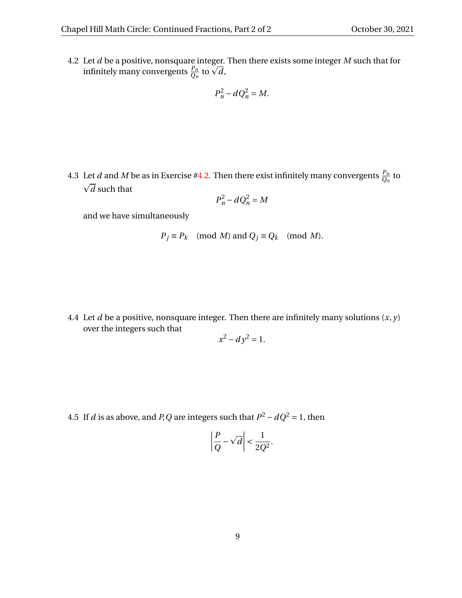<span id="page-8-0"></span>4.2 Let *d* be a positive, nonsquare integer. Then there exists some integer *M* such that for Let *d* be a positive, nonsquare integer.<br>infinitely many convergents  $\frac{P_n}{Q_n}$  to  $\sqrt{d}$ ,

$$
P_n^2 - dQ_n^2 = M.
$$

4.3 Let *d* and *M* be as in Exercise [#4.2.](#page-8-0) Then there exist infinitely many convergents  $\frac{P_n}{Q_n}$  to  $\sqrt{d}$  such that

$$
P_n^2 - dQ_n^2 = M
$$

and we have simultaneously

$$
P_j \equiv P_k \pmod{M}
$$
 and  $Q_j \equiv Q_k \pmod{M}$ .

4.4 Let  $d$  be a positive, nonsquare integer. Then there are infinitely many solutions  $(x, y)$ over the integers such that

$$
x^2 - dy^2 = 1.
$$

4.5 If *d* is as above, and *P*, *Q* are integers such that  $P^2 - dQ^2 = 1$ , then

$$
\left|\frac{P}{Q} - \sqrt{d}\right| < \frac{1}{2Q^2}.
$$